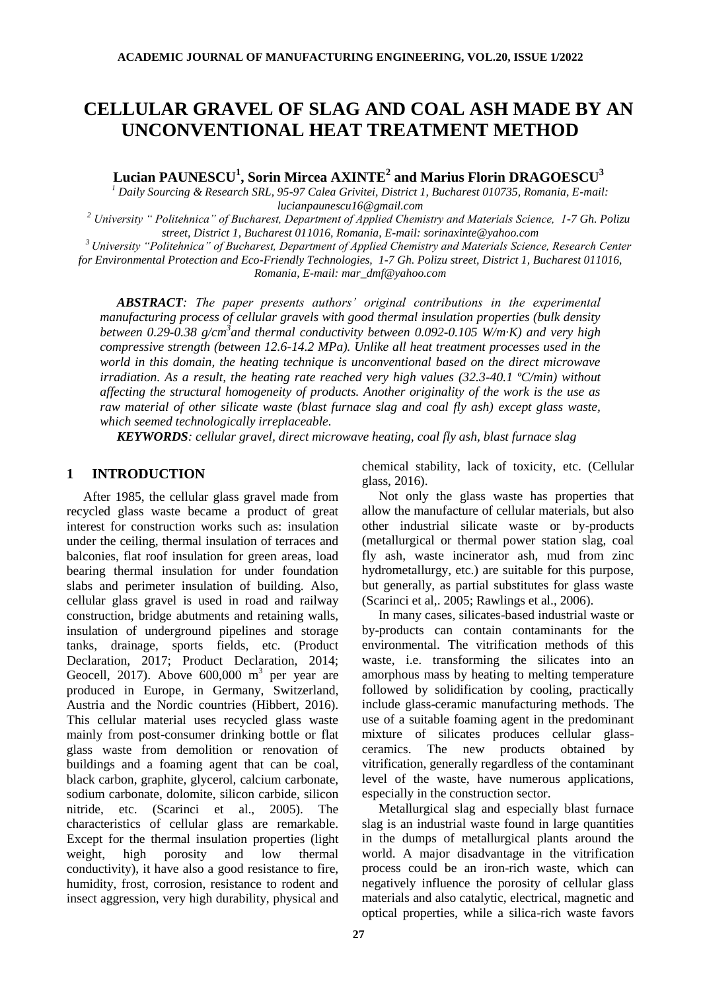# **CELLULAR GRAVEL OF SLAG AND COAL ASH MADE BY AN UNCONVENTIONAL HEAT TREATMENT METHOD**

**Lucian PAUNESCU<sup>1</sup> , Sorin Mircea AXINTE<sup>2</sup> and Marius Florin DRAGOESCU<sup>3</sup>**

*<sup>1</sup> Daily Sourcing & Research SRL, 95-97 Calea Grivitei, District 1, Bucharest 010735, Romania, E-mail: lucianpaunescu16@gmail.com*

*<sup>2</sup> University " Politehnica" of Bucharest, Department of Applied Chemistry and Materials Science, 1-7 Gh. Polizu street, District 1, Bucharest 011016, Romania, E-mail: sorinaxinte@yahoo.com*

*<sup>3</sup>University "Politehnica" of Bucharest, Department of Applied Chemistry and Materials Science, Research Center* 

*for Environmental Protection and Eco-Friendly Technologies, 1-7 Gh. Polizu street, District 1, Bucharest 011016,* 

*Romania, E-mail: mar\_dmf@yahoo.com*

*ABSTRACT: The paper presents authors' original contributions in the experimental manufacturing process of cellular gravels with good thermal insulation properties (bulk density between 0.29-0.38 g/cm<sup>3</sup> and thermal conductivity between 0.092-0.105 W/m·K) and very high compressive strength (between 12.6-14.2 MPa). Unlike all heat treatment processes used in the world in this domain, the heating technique is unconventional based on the direct microwave irradiation. As a result, the heating rate reached very high values (32.3-40.1 ºC/min) without affecting the structural homogeneity of products. Another originality of the work is the use as raw material of other silicate waste (blast furnace slag and coal fly ash) except glass waste, which seemed technologically irreplaceable.*

*KEYWORDS: cellular gravel, direct microwave heating, coal fly ash, blast furnace slag*

#### **1 INTRODUCTION**

After 1985, the cellular glass gravel made from recycled glass waste became a product of great interest for construction works such as: insulation under the ceiling, thermal insulation of terraces and balconies, flat roof insulation for green areas, load bearing thermal insulation for under foundation slabs and perimeter insulation of building. Also, cellular glass gravel is used in road and railway construction, bridge abutments and retaining walls, insulation of underground pipelines and storage tanks, drainage, sports fields, etc. (Product Declaration, 2017; Product Declaration, 2014; Geocell, 2017). Above  $600,000$  m<sup>3</sup> per year are produced in Europe, in Germany, Switzerland, Austria and the Nordic countries (Hibbert, 2016). This cellular material uses recycled glass waste mainly from post-consumer drinking bottle or flat glass waste from demolition or renovation of buildings and a foaming agent that can be coal, black carbon, graphite, glycerol, calcium carbonate, sodium carbonate, dolomite, silicon carbide, silicon nitride, etc. (Scarinci et al., 2005). The characteristics of cellular glass are remarkable. Except for the thermal insulation properties (light weight, high porosity and low thermal conductivity), it have also a good resistance to fire, humidity, frost, corrosion, resistance to rodent and insect aggression, very high durability, physical and

chemical stability, lack of toxicity, etc. (Cellular glass, 2016).

Not only the glass waste has properties that allow the manufacture of cellular materials, but also other industrial silicate waste or by-products (metallurgical or thermal power station slag, coal fly ash, waste incinerator ash, mud from zinc hydrometallurgy, etc.) are suitable for this purpose, but generally, as partial substitutes for glass waste (Scarinci et al,. 2005; Rawlings et al., 2006).

In many cases, silicates-based industrial waste or by-products can contain contaminants for the environmental. The vitrification methods of this waste, i.e. transforming the silicates into an amorphous mass by heating to melting temperature followed by solidification by cooling, practically include glass-ceramic manufacturing methods. The use of a suitable foaming agent in the predominant mixture of silicates produces cellular glassceramics. The new products obtained by vitrification, generally regardless of the contaminant level of the waste, have numerous applications, especially in the construction sector.

Metallurgical slag and especially blast furnace slag is an industrial waste found in large quantities in the dumps of metallurgical plants around the world. A major disadvantage in the vitrification process could be an iron-rich waste, which can negatively influence the porosity of cellular glass materials and also catalytic, electrical, magnetic and optical properties, while a silica-rich waste favors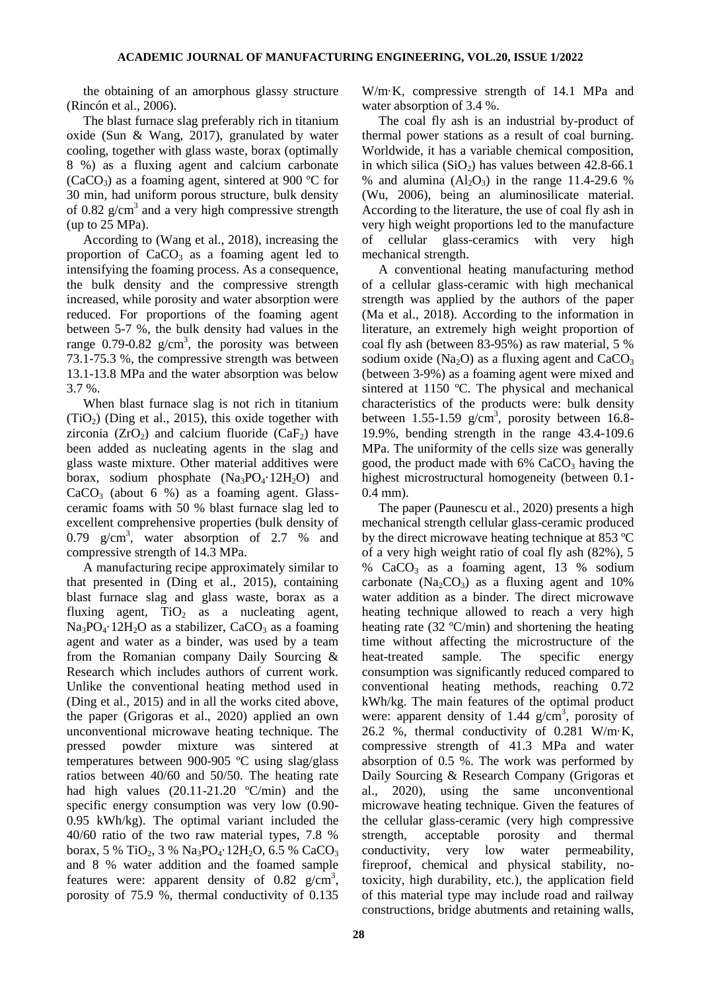the obtaining of an amorphous glassy structure (Rincón et al., 2006).

The blast furnace slag preferably rich in titanium oxide (Sun & Wang, 2017), granulated by water cooling, together with glass waste, borax (optimally 8 %) as a fluxing agent and calcium carbonate (CaCO<sub>3</sub>) as a foaming agent, sintered at 900 °C for 30 min, had uniform porous structure, bulk density of 0.82  $g/cm<sup>3</sup>$  and a very high compressive strength (up to 25 MPa).

According to (Wang et al., 2018), increasing the proportion of  $CaCO<sub>3</sub>$  as a foaming agent led to intensifying the foaming process. As a consequence, the bulk density and the compressive strength increased, while porosity and water absorption were reduced. For proportions of the foaming agent between 5-7 %, the bulk density had values in the range 0.79-0.82  $g/cm^3$ , the porosity was between 73.1-75.3 %, the compressive strength was between 13.1-13.8 MPa and the water absorption was below 3.7 %.

When blast furnace slag is not rich in titanium  $(TiO<sub>2</sub>)$  (Ding et al., 2015), this oxide together with zirconia ( $ZrO<sub>2</sub>$ ) and calcium fluoride (CaF<sub>2</sub>) have been added as nucleating agents in the slag and glass waste mixture. Other material additives were borax, sodium phosphate  $(Na_3PO_4.12H_2O)$  and  $CaCO<sub>3</sub>$  (about 6 %) as a foaming agent. Glassceramic foams with 50 % blast furnace slag led to excellent comprehensive properties (bulk density of 0.79  $g/cm<sup>3</sup>$ , water absorption of 2.7 % and compressive strength of 14.3 MPa.

A manufacturing recipe approximately similar to that presented in (Ding et al., 2015), containing blast furnace slag and glass waste, borax as a fluxing agent,  $TiO<sub>2</sub>$  as a nucleating agent,  $Na<sub>3</sub>PO<sub>4</sub>·12H<sub>2</sub>O$  as a stabilizer, CaCO<sub>3</sub> as a foaming agent and water as a binder, was used by a team from the Romanian company Daily Sourcing & Research which includes authors of current work. Unlike the conventional heating method used in (Ding et al., 2015) and in all the works cited above, the paper (Grigoras et al., 2020) applied an own unconventional microwave heating technique. The pressed powder mixture was sintered at temperatures between 900-905 ºC using slag/glass ratios between 40/60 and 50/50. The heating rate had high values (20.11-21.20 ºC/min) and the specific energy consumption was very low (0.90- 0.95 kWh/kg). The optimal variant included the 40/60 ratio of the two raw material types, 7.8 % borax, 5 % TiO<sub>2</sub>, 3 % Na<sub>3</sub>PO<sub>4</sub> $\cdot$ 12H<sub>2</sub>O, 6.5 % CaCO<sub>3</sub> and 8 % water addition and the foamed sample features were: apparent density of  $0.82 \text{ g/cm}^3$ , porosity of 75.9 %, thermal conductivity of 0.135

W/m·K, compressive strength of 14.1 MPa and water absorption of 3.4 %.

The coal fly ash is an industrial by-product of thermal power stations as a result of coal burning. Worldwide, it has a variable chemical composition, in which silica  $(SiO<sub>2</sub>)$  has values between 42.8-66.1 % and alumina  $(Al_2O_3)$  in the range 11.4-29.6 % (Wu, 2006), being an aluminosilicate material. According to the literature, the use of coal fly ash in very high weight proportions led to the manufacture of cellular glass-ceramics with very high mechanical strength.

A conventional heating manufacturing method of a cellular glass-ceramic with high mechanical strength was applied by the authors of the paper (Ma et al., 2018). According to the information in literature, an extremely high weight proportion of coal fly ash (between 83-95%) as raw material, 5 % sodium oxide (Na<sub>2</sub>O) as a fluxing agent and  $CaCO<sub>3</sub>$ (between 3-9%) as a foaming agent were mixed and sintered at 1150 ºC. The physical and mechanical characteristics of the products were: bulk density between  $1.55 - 1.59$  g/cm<sup>3</sup>, porosity between 16.8-19.9%, bending strength in the range 43.4-109.6 MPa. The uniformity of the cells size was generally good, the product made with  $6\%$  CaCO<sub>3</sub> having the highest microstructural homogeneity (between 0.1- 0.4 mm).

The paper (Paunescu et al., 2020) presents a high mechanical strength cellular glass-ceramic produced by the direct microwave heating technique at 853 ºC of a very high weight ratio of coal fly ash (82%), 5 %  $CaCO<sub>3</sub>$  as a foaming agent, 13 % sodium carbonate  $(Na_2CO_3)$  as a fluxing agent and 10% water addition as a binder. The direct microwave heating technique allowed to reach a very high heating rate (32 ºC/min) and shortening the heating time without affecting the microstructure of the heat-treated sample. The specific energy consumption was significantly reduced compared to conventional heating methods, reaching 0.72 kWh/kg. The main features of the optimal product were: apparent density of  $1.44$  g/cm<sup>3</sup>, porosity of 26.2 %, thermal conductivity of 0.281 W/m·K, compressive strength of 41.3 MPa and water absorption of 0.5 %. The work was performed by Daily Sourcing & Research Company (Grigoras et al., 2020), using the same unconventional microwave heating technique. Given the features of the cellular glass-ceramic (very high compressive strength, acceptable porosity and thermal conductivity, very low water permeability, fireproof, chemical and physical stability, notoxicity, high durability, etc.), the application field of this material type may include road and railway constructions, bridge abutments and retaining walls,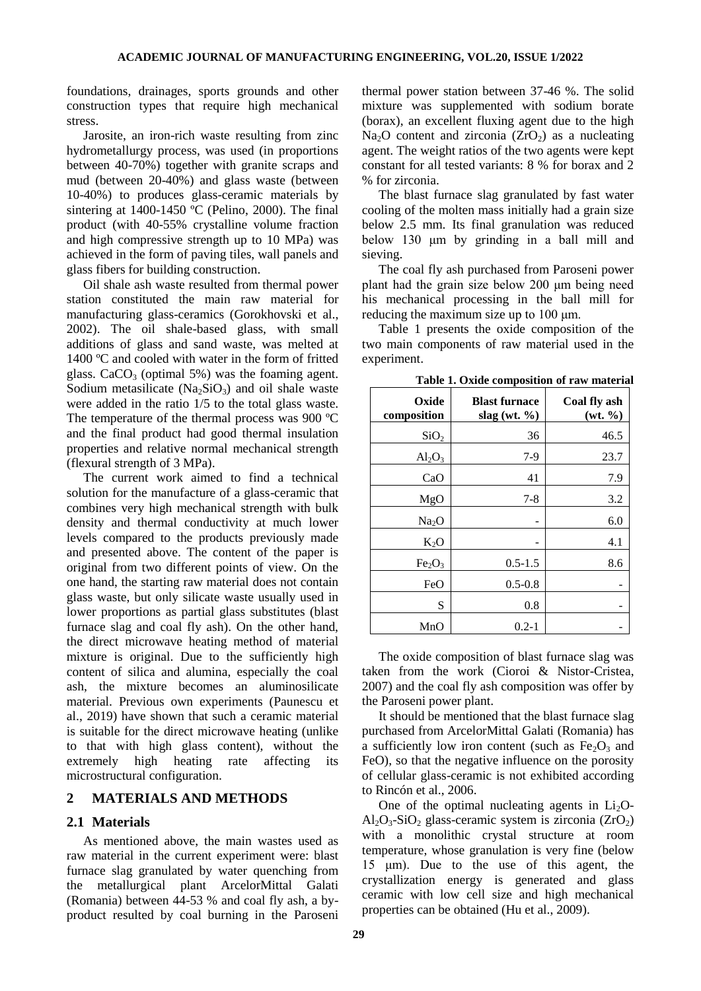foundations, drainages, sports grounds and other construction types that require high mechanical stress.

Jarosite, an iron-rich waste resulting from zinc hydrometallurgy process, was used (in proportions between 40-70%) together with granite scraps and mud (between 20-40%) and glass waste (between 10-40%) to produces glass-ceramic materials by sintering at 1400-1450 ºC (Pelino, 2000). The final product (with 40-55% crystalline volume fraction and high compressive strength up to 10 MPa) was achieved in the form of paving tiles, wall panels and glass fibers for building construction.

Oil shale ash waste resulted from thermal power station constituted the main raw material for manufacturing glass-ceramics (Gorokhovski et al., 2002). The oil shale-based glass, with small additions of glass and sand waste, was melted at 1400 ºC and cooled with water in the form of fritted glass.  $CaCO<sub>3</sub>$  (optimal 5%) was the foaming agent. Sodium metasilicate  $(Na_2SiO_3)$  and oil shale waste were added in the ratio 1/5 to the total glass waste. The temperature of the thermal process was 900 ºC and the final product had good thermal insulation properties and relative normal mechanical strength (flexural strength of 3 MPa).

The current work aimed to find a technical solution for the manufacture of a glass-ceramic that combines very high mechanical strength with bulk density and thermal conductivity at much lower levels compared to the products previously made and presented above. The content of the paper is original from two different points of view. On the one hand, the starting raw material does not contain glass waste, but only silicate waste usually used in lower proportions as partial glass substitutes (blast furnace slag and coal fly ash). On the other hand, the direct microwave heating method of material mixture is original. Due to the sufficiently high content of silica and alumina, especially the coal ash, the mixture becomes an aluminosilicate material. Previous own experiments (Paunescu et al., 2019) have shown that such a ceramic material is suitable for the direct microwave heating (unlike to that with high glass content), without the extremely high heating rate affecting its microstructural configuration.

#### **2 MATERIALS AND METHODS**

#### **2.1 Materials**

As mentioned above, the main wastes used as raw material in the current experiment were: blast furnace slag granulated by water quenching from the metallurgical plant ArcelorMittal Galati (Romania) between 44-53 % and coal fly ash, a byproduct resulted by coal burning in the Paroseni

thermal power station between 37-46 %. The solid mixture was supplemented with sodium borate (borax), an excellent fluxing agent due to the high Na<sub>2</sub>O content and zirconia  $(ZrO<sub>2</sub>)$  as a nucleating agent. The weight ratios of the two agents were kept constant for all tested variants: 8 % for borax and 2 % for zirconia.

The blast furnace slag granulated by fast water cooling of the molten mass initially had a grain size below 2.5 mm. Its final granulation was reduced below 130 μm by grinding in a ball mill and sieving.

The coal fly ash purchased from Paroseni power plant had the grain size below 200 μm being need his mechanical processing in the ball mill for reducing the maximum size up to 100 μm.

Table 1 presents the oxide composition of the two main components of raw material used in the experiment.

| Table 1. Oxide composition of raw material |  |
|--------------------------------------------|--|
|--------------------------------------------|--|

| Oxide<br>composition           | <b>Blast furnace</b><br>slag (wt. $\%$ ) | Coal fly ash<br>(wt. % ) |
|--------------------------------|------------------------------------------|--------------------------|
| SiO <sub>2</sub>               | 36                                       | 46.5                     |
| $Al_2O_3$                      | $7-9$                                    | 23.7                     |
| CaO                            | 41                                       | 7.9                      |
| MgO                            | $7-8$                                    | 3.2                      |
| Na <sub>2</sub> O              |                                          | 6.0                      |
| $K_2O$                         |                                          | 4.1                      |
| Fe <sub>2</sub> O <sub>3</sub> | $0.5 - 1.5$                              | 8.6                      |
| FeO                            | $0.5 - 0.8$                              |                          |
| S                              | 0.8                                      |                          |
| MnO                            | $0.2 - 1$                                |                          |

The oxide composition of blast furnace slag was taken from the work (Cioroi & Nistor-Cristea, 2007) and the coal fly ash composition was offer by the Paroseni power plant.

It should be mentioned that the blast furnace slag purchased from ArcelorMittal Galati (Romania) has a sufficiently low iron content (such as  $Fe<sub>2</sub>O<sub>3</sub>$  and FeO), so that the negative influence on the porosity of cellular glass-ceramic is not exhibited according to Rincón et al., 2006.

One of the optimal nucleating agents in  $Li<sub>2</sub>O-$ Al<sub>2</sub>O<sub>3</sub>-SiO<sub>2</sub> glass-ceramic system is zirconia (ZrO<sub>2</sub>) with a monolithic crystal structure at room temperature, whose granulation is very fine (below 15 μm). Due to the use of this agent, the crystallization energy is generated and glass ceramic with low cell size and high mechanical properties can be obtained (Hu et al., 2009).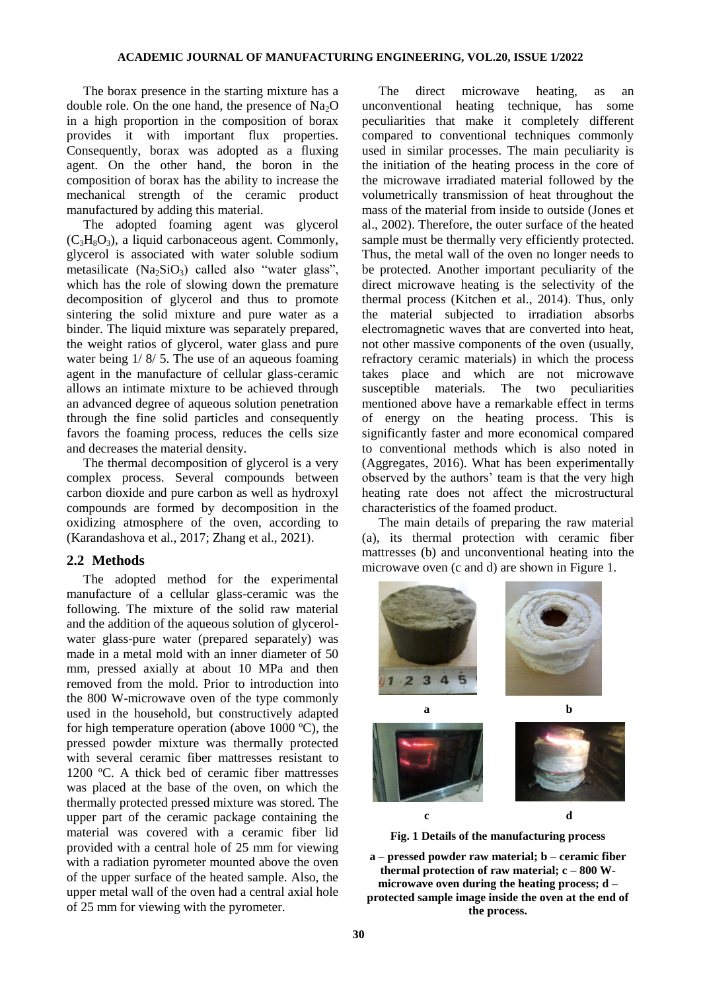The borax presence in the starting mixture has a double role. On the one hand, the presence of  $Na<sub>2</sub>O$ in a high proportion in the composition of borax provides it with important flux properties. Consequently, borax was adopted as a fluxing agent. On the other hand, the boron in the composition of borax has the ability to increase the mechanical strength of the ceramic product manufactured by adding this material.

The adopted foaming agent was glycerol  $(C_3H_8O_3)$ , a liquid carbonaceous agent. Commonly, glycerol is associated with water soluble sodium metasilicate  $(Na_2SiO_3)$  called also "water glass", which has the role of slowing down the premature decomposition of glycerol and thus to promote sintering the solid mixture and pure water as a binder. The liquid mixture was separately prepared, the weight ratios of glycerol, water glass and pure water being  $1/ 8/ 5$ . The use of an aqueous foaming agent in the manufacture of cellular glass-ceramic allows an intimate mixture to be achieved through an advanced degree of aqueous solution penetration through the fine solid particles and consequently favors the foaming process, reduces the cells size and decreases the material density.

The thermal decomposition of glycerol is a very complex process. Several compounds between carbon dioxide and pure carbon as well as hydroxyl compounds are formed by decomposition in the oxidizing atmosphere of the oven, according to (Karandashova et al., 2017; Zhang et al., 2021).

#### **2.2 Methods**

The adopted method for the experimental manufacture of a cellular glass-ceramic was the following. The mixture of the solid raw material and the addition of the aqueous solution of glycerolwater glass-pure water (prepared separately) was made in a metal mold with an inner diameter of 50 mm, pressed axially at about 10 MPa and then removed from the mold. Prior to introduction into the 800 W-microwave oven of the type commonly used in the household, but constructively adapted for high temperature operation (above  $1000 \degree C$ ), the pressed powder mixture was thermally protected with several ceramic fiber mattresses resistant to 1200 ºC. A thick bed of ceramic fiber mattresses was placed at the base of the oven, on which the thermally protected pressed mixture was stored. The upper part of the ceramic package containing the material was covered with a ceramic fiber lid provided with a central hole of 25 mm for viewing with a radiation pyrometer mounted above the oven of the upper surface of the heated sample. Also, the upper metal wall of the oven had a central axial hole of 25 mm for viewing with the pyrometer.

The direct microwave heating, as an unconventional heating technique, has some peculiarities that make it completely different compared to conventional techniques commonly used in similar processes. The main peculiarity is the initiation of the heating process in the core of the microwave irradiated material followed by the volumetrically transmission of heat throughout the mass of the material from inside to outside (Jones et al., 2002). Therefore, the outer surface of the heated sample must be thermally very efficiently protected. Thus, the metal wall of the oven no longer needs to be protected. Another important peculiarity of the direct microwave heating is the selectivity of the thermal process (Kitchen et al., 2014). Thus, only the material subjected to irradiation absorbs electromagnetic waves that are converted into heat, not other massive components of the oven (usually, refractory ceramic materials) in which the process takes place and which are not microwave susceptible materials. The two peculiarities mentioned above have a remarkable effect in terms of energy on the heating process. This is significantly faster and more economical compared to conventional methods which is also noted in (Aggregates, 2016). What has been experimentally observed by the authors' team is that the very high heating rate does not affect the microstructural characteristics of the foamed product.

The main details of preparing the raw material (a), its thermal protection with ceramic fiber mattresses (b) and unconventional heating into the microwave oven (c and d) are shown in Figure 1.



**Fig. 1 Details of the manufacturing process**

**a – pressed powder raw material; b – ceramic fiber thermal protection of raw material; c – 800 Wmicrowave oven during the heating process; d – protected sample image inside the oven at the end of the process.**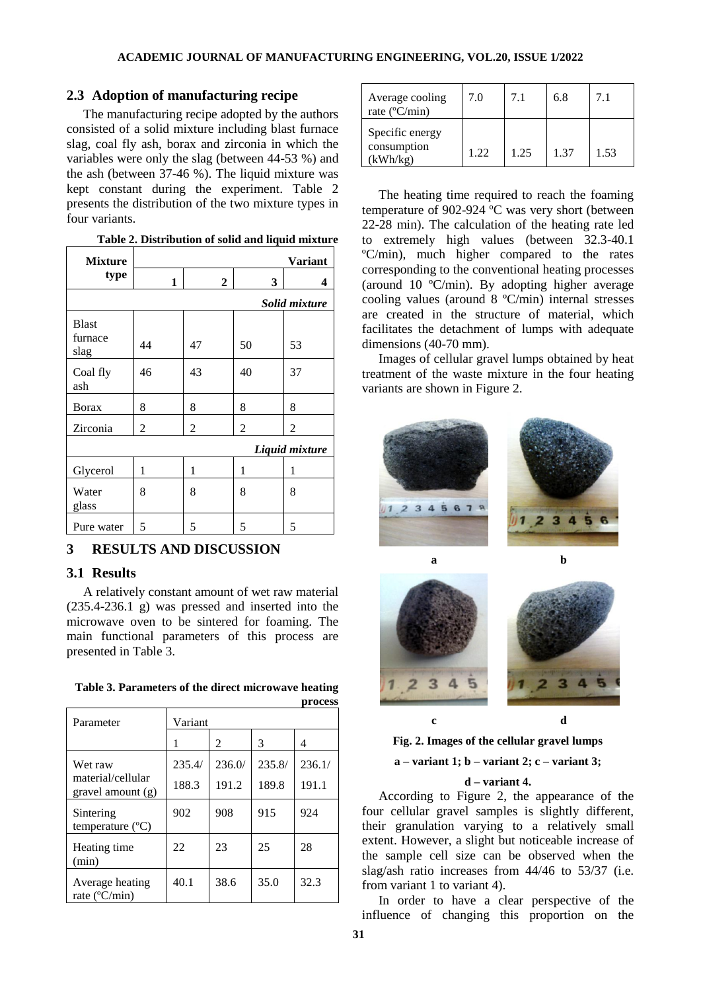#### **2.3 Adoption of manufacturing recipe**

The manufacturing recipe adopted by the authors consisted of a solid mixture including blast furnace slag, coal fly ash, borax and zirconia in which the variables were only the slag (between 44-53 %) and the ash (between 37-46 %). The liquid mixture was kept constant during the experiment. Table 2 presents the distribution of the two mixture types in four variants.

| Table 2. Distribution of solid and liquid mixture |  |
|---------------------------------------------------|--|
|---------------------------------------------------|--|

| <b>Mixture</b>                  | <b>Variant</b> |                |    |    |  |  |
|---------------------------------|----------------|----------------|----|----|--|--|
| type                            | 1              | $\overline{2}$ | 3  | 4  |  |  |
|                                 | Solid mixture  |                |    |    |  |  |
| <b>Blast</b><br>furnace<br>slag | 44             | 47             | 50 | 53 |  |  |
| Coal fly<br>ash                 | 46             | 43             | 40 | 37 |  |  |
| <b>B</b> orax                   | 8              | 8              | 8  | 8  |  |  |
| Zirconia                        | 2              | 2              | 2  | 2  |  |  |
| Liquid mixture                  |                |                |    |    |  |  |
| Glycerol                        | 1              | 1              | 1  | 1  |  |  |
| Water<br>glass                  | 8              | 8              | 8  | 8  |  |  |
| Pure water                      | 5              | 5              | 5  | 5  |  |  |

### **3 RESULTS AND DISCUSSION**

#### **3.1 Results**

A relatively constant amount of wet raw material (235.4-236.1 g) was pressed and inserted into the microwave oven to be sintered for foaming. The main functional parameters of this process are presented in Table 3.

| Parameter                                        | Variant |                |        |        |
|--------------------------------------------------|---------|----------------|--------|--------|
|                                                  |         | $\mathfrak{D}$ | 3      | 4      |
| Wet raw                                          | 235.4/  | 236.0/         | 235.8/ | 236.1/ |
| material/cellular<br>gravel amount $(g)$         | 188.3   | 191.2          | 189.8  | 191.1  |
| Sintering<br>temperature $(^{\circ}C)$           | 902     | 908            | 915    | 924    |
| Heating time<br>(min)                            | 22      | 23             | 25     | 28     |
| Average heating<br>rate $(^{\circ}C/\text{min})$ | 40.1    | 38.6           | 35.0   | 32.3   |

| Table 3. Parameters of the direct microwave heating |         |
|-----------------------------------------------------|---------|
|                                                     | process |

| Average cooling<br>rate $(^{\circ}C/min)$  | 7.0  | 7.1  | 6.8  | 7.1  |
|--------------------------------------------|------|------|------|------|
| Specific energy<br>consumption<br>(kWh/kg) | 1.22 | 1.25 | 1.37 | 1.53 |

The heating time required to reach the foaming temperature of 902-924 ºC was very short (between 22-28 min). The calculation of the heating rate led to extremely high values (between 32.3-40.1 ºC/min), much higher compared to the rates corresponding to the conventional heating processes (around 10 ºC/min). By adopting higher average cooling values (around 8 ºC/min) internal stresses are created in the structure of material, which facilitates the detachment of lumps with adequate dimensions (40-70 mm).

Images of cellular gravel lumps obtained by heat treatment of the waste mixture in the four heating variants are shown in Figure 2.



**Fig. 2. Images of the cellular gravel lumps**

**a – variant 1; b – variant 2; c – variant 3;** 

#### **d – variant 4.**

According to Figure 2, the appearance of the four cellular gravel samples is slightly different, their granulation varying to a relatively small extent. However, a slight but noticeable increase of the sample cell size can be observed when the slag/ash ratio increases from 44/46 to 53/37 (i.e. from variant 1 to variant 4).

In order to have a clear perspective of the influence of changing this proportion on the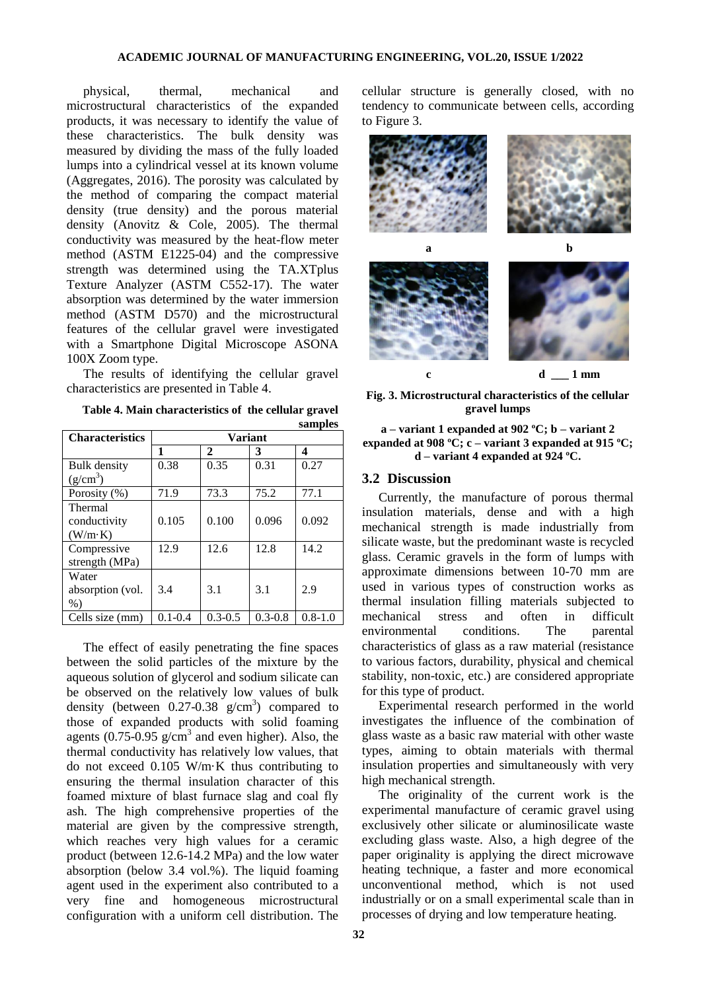physical, thermal, mechanical and microstructural characteristics of the expanded products, it was necessary to identify the value of these characteristics. The bulk density was measured by dividing the mass of the fully loaded lumps into a cylindrical vessel at its known volume (Aggregates, 2016). The porosity was calculated by the method of comparing the compact material density (true density) and the porous material density (Anovitz & Cole, 2005). The thermal conductivity was measured by the heat-flow meter method (ASTM E1225-04) and the compressive strength was determined using the TA.XTplus Texture Analyzer (ASTM C552-17). The water absorption was determined by the water immersion method (ASTM D570) and the microstructural features of the cellular gravel were investigated with a Smartphone Digital Microscope ASONA 100X Zoom type.

The results of identifying the cellular gravel characteristics are presented in Table 4.

**Table 4. Main characteristics of the cellular gravel samples**

| <b>Characteristics</b> | <b>Variant</b> |              |             |             |
|------------------------|----------------|--------------|-------------|-------------|
|                        | 1              | $\mathbf{2}$ | 3           | 4           |
| Bulk density           | 0.38           | 0.35         | 0.31        | 0.27        |
| $(g/cm^3)$             |                |              |             |             |
| Porosity (%)           | 71.9           | 73.3         | 75.2        | 77.1        |
| <b>Thermal</b>         |                |              |             |             |
| conductivity           | 0.105          | 0.100        | 0.096       | 0.092       |
| (W/m·K)                |                |              |             |             |
| Compressive            | 12.9           | 12.6         | 12.8        | 14.2        |
| strength (MPa)         |                |              |             |             |
| Water                  |                |              |             |             |
| absorption (vol.       | 3.4            | 3.1          | 3.1         | 2.9         |
| $%$ )                  |                |              |             |             |
| Cells size (mm)        | $0.1 - 0.4$    | $0.3 - 0.5$  | $0.3 - 0.8$ | $0.8 - 1.0$ |

The effect of easily penetrating the fine spaces between the solid particles of the mixture by the aqueous solution of glycerol and sodium silicate can be observed on the relatively low values of bulk density (between  $0.27 - 0.38$  g/cm<sup>3</sup>) compared to those of expanded products with solid foaming agents  $(0.75-0.95 \text{ g/cm}^3$  and even higher). Also, the thermal conductivity has relatively low values, that do not exceed 0.105 W/m·K thus contributing to ensuring the thermal insulation character of this foamed mixture of blast furnace slag and coal fly ash. The high comprehensive properties of the material are given by the compressive strength, which reaches very high values for a ceramic product (between 12.6-14.2 MPa) and the low water absorption (below 3.4 vol.%). The liquid foaming agent used in the experiment also contributed to a very fine and homogeneous microstructural configuration with a uniform cell distribution. The

cellular structure is generally closed, with no tendency to communicate between cells, according to Figure 3.



**Fig. 3. Microstructural characteristics of the cellular gravel lumps**

#### **a – variant 1 expanded at 902 ºC; b – variant 2 expanded at 908 ºC; c – variant 3 expanded at 915 ºC; d – variant 4 expanded at 924 ºC.**

#### **3.2 Discussion**

Currently, the manufacture of porous thermal insulation materials, dense and with a high mechanical strength is made industrially from silicate waste, but the predominant waste is recycled glass. Ceramic gravels in the form of lumps with approximate dimensions between 10-70 mm are used in various types of construction works as thermal insulation filling materials subjected to mechanical stress and often in difficult environmental conditions. The parental characteristics of glass as a raw material (resistance to various factors, durability, physical and chemical stability, non-toxic, etc.) are considered appropriate for this type of product.

Experimental research performed in the world investigates the influence of the combination of glass waste as a basic raw material with other waste types, aiming to obtain materials with thermal insulation properties and simultaneously with very high mechanical strength.

The originality of the current work is the experimental manufacture of ceramic gravel using exclusively other silicate or aluminosilicate waste excluding glass waste. Also, a high degree of the paper originality is applying the direct microwave heating technique, a faster and more economical unconventional method, which is not used industrially or on a small experimental scale than in processes of drying and low temperature heating.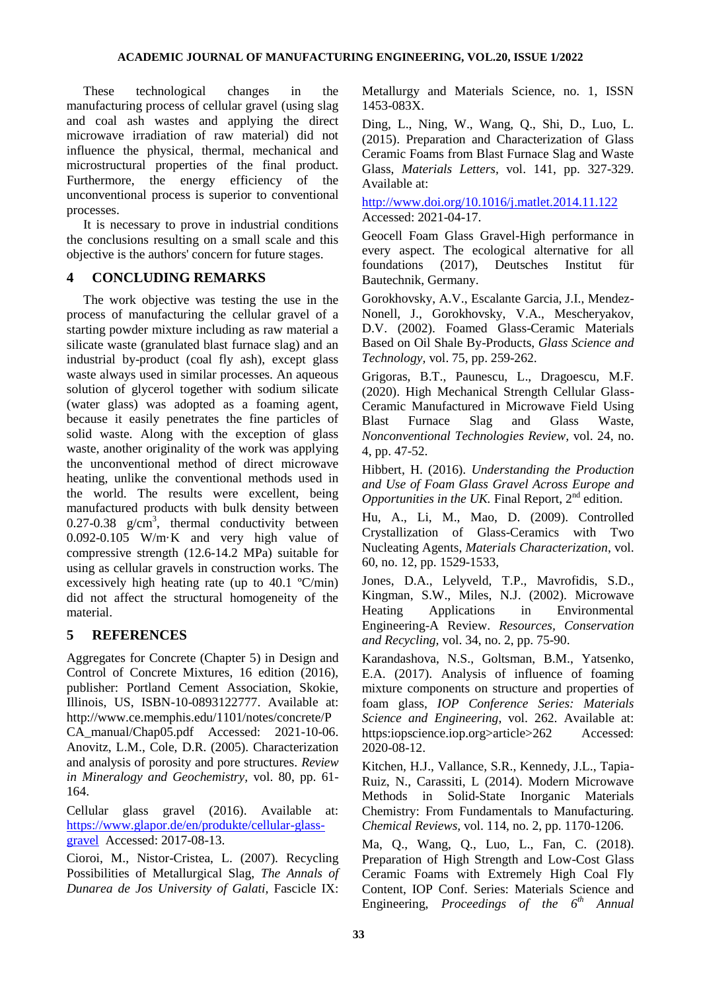These technological changes in the manufacturing process of cellular gravel (using slag and coal ash wastes and applying the direct microwave irradiation of raw material) did not influence the physical, thermal, mechanical and microstructural properties of the final product. Furthermore, the energy efficiency of the unconventional process is superior to conventional processes.

It is necessary to prove in industrial conditions the conclusions resulting on a small scale and this objective is the authors' concern for future stages.

## **4 CONCLUDING REMARKS**

The work objective was testing the use in the process of manufacturing the cellular gravel of a starting powder mixture including as raw material a silicate waste (granulated blast furnace slag) and an industrial by-product (coal fly ash), except glass waste always used in similar processes. An aqueous solution of glycerol together with sodium silicate (water glass) was adopted as a foaming agent, because it easily penetrates the fine particles of solid waste. Along with the exception of glass waste, another originality of the work was applying the unconventional method of direct microwave heating, unlike the conventional methods used in the world. The results were excellent, being manufactured products with bulk density between 0.27-0.38  $g/cm^3$ , thermal conductivity between 0.092-0.105 W/m·K and very high value of compressive strength (12.6-14.2 MPa) suitable for using as cellular gravels in construction works. The excessively high heating rate (up to 40.1 ºC/min) did not affect the structural homogeneity of the material.

## **5 REFERENCES**

Aggregates for Concrete (Chapter 5) in Design and Control of Concrete Mixtures, 16 edition (2016), publisher: Portland Cement Association, Skokie, Illinois, US, ISBN-10-0893122777. Available at: http://www.ce.memphis.edu/1101/notes/concrete/P CA\_manual/Chap05.pdf Accessed: 2021-10-06. Anovitz, L.M., Cole, D.R. (2005). Characterization and analysis of porosity and pore structures. *Review in Mineralogy and Geochemistry,* vol. 80, pp. 61- 164.

Cellular glass gravel (2016). Available at: [https://www.glapor.de/en/produkte/cellular-glass](https://www.glapor.de/en/produkte/cellular-glass-gravel)[gravel](https://www.glapor.de/en/produkte/cellular-glass-gravel) Accessed: 2017-08-13.

Cioroi, M., Nistor-Cristea, L. (2007). Recycling Possibilities of Metallurgical Slag, *The Annals of Dunarea de Jos University of Galati,* Fascicle IX:

Metallurgy and Materials Science, no. 1, ISSN 1453-083X.

Ding, L., Ning, W., Wang, Q., Shi, D., Luo, L. (2015). Preparation and Characterization of Glass Ceramic Foams from Blast Furnace Slag and Waste Glass, *Materials Letters,* vol. 141, pp. 327-329. Available at:

<http://www.doi.org/10.1016/j.matlet.2014.11.122> Accessed: 2021-04-17.

Geocell Foam Glass Gravel-High performance in every aspect. The ecological alternative for all<br>foundations (2017), Deutsches Institut für foundations (2017), Deutsches Institut für Bautechnik, Germany.

Gorokhovsky, A.V., Escalante Garcia, J.I., Mendez-Nonell, J., Gorokhovsky, V.A., Mescheryakov, D.V. (2002). Foamed Glass-Ceramic Materials Based on Oil Shale By-Products, *Glass Science and Technology,* vol. 75, pp. 259-262.

Grigoras, B.T., Paunescu, L., Dragoescu, M.F. (2020). High Mechanical Strength Cellular Glass-Ceramic Manufactured in Microwave Field Using Blast Furnace Slag and Glass Waste, *Nonconventional Technologies Review,* vol. 24, no. 4, pp. 47-52.

Hibbert, H. (2016). *Understanding the Production and Use of Foam Glass Gravel Across Europe and Opportunities in the UK.* Final Report,  $2<sup>nd</sup>$  edition.

Hu, A., Li, M., Mao, D. (2009). Controlled Crystallization of Glass-Ceramics with Two Nucleating Agents, *Materials Characterization*, vol. 60, no. 12, pp. 1529-1533,

Jones, D.A., Lelyveld, T.P., Mavrofidis, S.D., Kingman, S.W., Miles, N.J. (2002). Microwave Heating Applications in Environmental Engineering-A Review. *Resources, Conservation and Recycling,* vol. 34, no. 2, pp. 75-90.

Karandashova, N.S., Goltsman, B.M., Yatsenko, E.A. (2017). Analysis of influence of foaming mixture components on structure and properties of foam glass, *IOP Conference Series: Materials Science and Engineering*, vol. 262. Available at: https:iopscience.iop.org>article>262 Accessed: 2020-08-12.

Kitchen, H.J., Vallance, S.R., Kennedy, J.L., Tapia-Ruiz, N., Carassiti, L (2014). Modern Microwave Methods in Solid-State Inorganic Materials Chemistry: From Fundamentals to Manufacturing. *Chemical Reviews,* vol. 114, no. 2, pp. 1170-1206.

Ma, Q., Wang, Q., Luo, L., Fan, C. (2018). Preparation of High Strength and Low-Cost Glass Ceramic Foams with Extremely High Coal Fly Content, IOP Conf. Series: Materials Science and Engineering, *Proceedings of the 6th Annual*